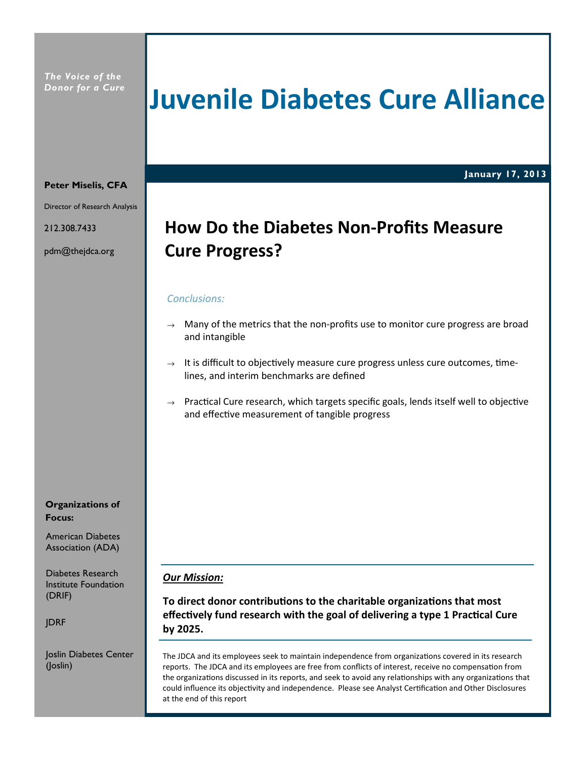The Voice of the Donor for a Cure

## Juvenile Diabetes Cure Alliance

January 17, 2013

#### Peter Miselis, CFA

Director of Research Analysis

212.308.7433

pdm@thejdca.org

## How Do the Diabetes Non-Profits Measure Cure Progress?

### Conclusions:

- $\rightarrow$  Many of the metrics that the non-profits use to monitor cure progress are broad and intangible
- $\rightarrow$  It is difficult to objectively measure cure progress unless cure outcomes, timelines, and interim benchmarks are defined
- $\rightarrow$  Practical Cure research, which targets specific goals, lends itself well to objective and effective measurement of tangible progress

#### Organizations of Focus:

American Diabetes

Diabetes Research Institute Foundation (DRIF)

JDRF

Joslin Diabetes Center (Joslin)

#### **Our Mission:**

To direct donor contributions to the charitable organizations that most effectively fund research with the goal of delivering a type 1 Practical Cure by 2025.

The JDCA and its employees seek to maintain independence from organizations covered in its research reports. The JDCA and its employees are free from conflicts of interest, receive no compensation from the organizations discussed in its reports, and seek to avoid any relationships with any organizations that could influence its objectivity and independence. Please see Analyst Certification and Other Disclosures at the end of this report

Association (ADA)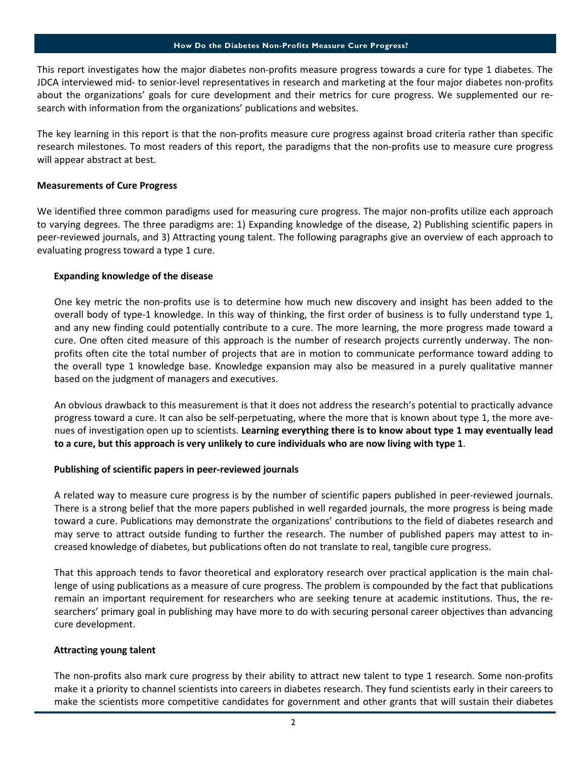This report investigates how the major diabetes non-profits measure progress towards a cure for type 1 diabetes. The JDCA interviewed mid- to senior-level representatives in research and marketing at the four major diabetes non-profits about the organizations' goals for cure development and their metrics for cure progress. We supplemented our research with information from the organizations' publications and websites.

The key learning in this report is that the non-profits measure cure progress against broad criteria rather than specific research milestones. To most readers of this report, the paradigms that the non-profits use to measure cure progress will appear abstract at best.

#### Measurements of Cure Progress

We identified three common paradigms used for measuring cure progress. The major non-profits utilize each approach to varying degrees. The three paradigms are: 1) Expanding knowledge of the disease, 2) Publishing scientific papers in peer-reviewed journals, and 3) Attracting young talent. The following paragraphs give an overview of each approach to evaluating progress toward a type 1 cure.

#### Expanding knowledge of the disease

One key metric the non-profits use is to determine how much new discovery and insight has been added to the overall body of type-1 knowledge. In this way of thinking, the first order of business is to fully understand type 1, and any new finding could potentially contribute to a cure. The more learning, the more progress made toward a cure. One often cited measure of this approach is the number of research projects currently underway. The nonprofits often cite the total number of projects that are in motion to communicate performance toward adding to the overall type 1 knowledge base. Knowledge expansion may also be measured in a purely qualitative manner based on the judgment of managers and executives.

An obvious drawback to this measurement is that it does not address the research's potential to practically advance progress toward a cure. It can also be self-perpetuating, where the more that is known about type 1, the more avenues of investigation open up to scientists. Learning everything there is to know about type 1 may eventually lead to a cure, but this approach is very unlikely to cure individuals who are now living with type 1.

#### Publishing of scientific papers in peer-reviewed journals

A related way to measure cure progress is by the number of scientific papers published in peer-reviewed journals. There is a strong belief that the more papers published in well regarded journals, the more progress is being made toward a cure. Publications may demonstrate the organizations' contributions to the field of diabetes research and may serve to attract outside funding to further the research. The number of published papers may attest to increased knowledge of diabetes, but publications often do not translate to real, tangible cure progress.

That this approach tends to favor theoretical and exploratory research over practical application is the main challenge of using publications as a measure of cure progress. The problem is compounded by the fact that publications remain an important requirement for researchers who are seeking tenure at academic institutions. Thus, the researchers' primary goal in publishing may have more to do with securing personal career objectives than advancing cure development.

#### Attracting young talent

The non-profits also mark cure progress by their ability to attract new talent to type 1 research. Some non-profits make it a priority to channel scientists into careers in diabetes research. They fund scientists early in their careers to make the scientists more competitive candidates for government and other grants that will sustain their diabetes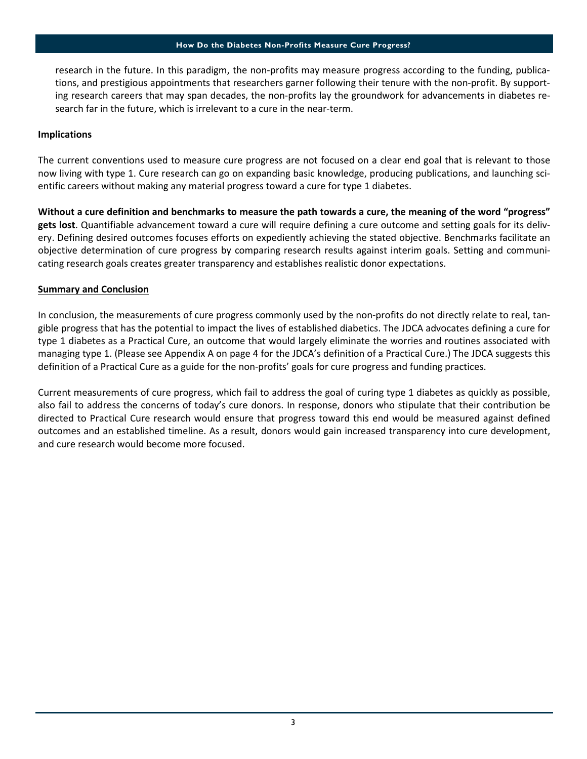research in the future. In this paradigm, the non-profits may measure progress according to the funding, publications, and prestigious appointments that researchers garner following their tenure with the non-profit. By supporting research careers that may span decades, the non-profits lay the groundwork for advancements in diabetes research far in the future, which is irrelevant to a cure in the near-term.

#### Implications

The current conventions used to measure cure progress are not focused on a clear end goal that is relevant to those now living with type 1. Cure research can go on expanding basic knowledge, producing publications, and launching scientific careers without making any material progress toward a cure for type 1 diabetes.

Without a cure definition and benchmarks to measure the path towards a cure, the meaning of the word "progress" gets lost. Quantifiable advancement toward a cure will require defining a cure outcome and setting goals for its delivery. Defining desired outcomes focuses efforts on expediently achieving the stated objective. Benchmarks facilitate an objective determination of cure progress by comparing research results against interim goals. Setting and communicating research goals creates greater transparency and establishes realistic donor expectations.

#### Summary and Conclusion

In conclusion, the measurements of cure progress commonly used by the non-profits do not directly relate to real, tangible progress that has the potential to impact the lives of established diabetics. The JDCA advocates defining a cure for type 1 diabetes as a Practical Cure, an outcome that would largely eliminate the worries and routines associated with managing type 1. (Please see Appendix A on page 4 for the JDCA's definition of a Practical Cure.) The JDCA suggests this definition of a Practical Cure as a guide for the non-profits' goals for cure progress and funding practices.

Current measurements of cure progress, which fail to address the goal of curing type 1 diabetes as quickly as possible, also fail to address the concerns of today's cure donors. In response, donors who stipulate that their contribution be directed to Practical Cure research would ensure that progress toward this end would be measured against defined outcomes and an established timeline. As a result, donors would gain increased transparency into cure development, and cure research would become more focused.